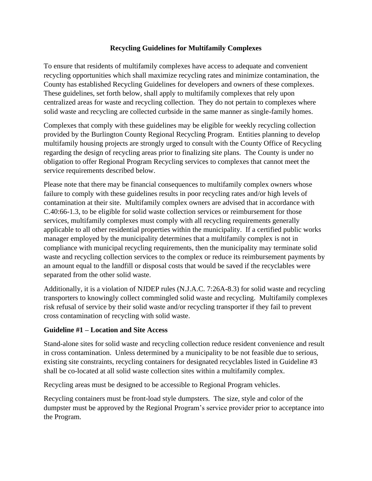### **Recycling Guidelines for Multifamily Complexes**

To ensure that residents of multifamily complexes have access to adequate and convenient recycling opportunities which shall maximize recycling rates and minimize contamination, the County has established Recycling Guidelines for developers and owners of these complexes. These guidelines, set forth below, shall apply to multifamily complexes that rely upon centralized areas for waste and recycling collection. They do not pertain to complexes where solid waste and recycling are collected curbside in the same manner as single-family homes.

Complexes that comply with these guidelines may be eligible for weekly recycling collection provided by the Burlington County Regional Recycling Program. Entities planning to develop multifamily housing projects are strongly urged to consult with the County Office of Recycling regarding the design of recycling areas prior to finalizing site plans. The County is under no obligation to offer Regional Program Recycling services to complexes that cannot meet the service requirements described below.

Please note that there may be financial consequences to multifamily complex owners whose failure to comply with these guidelines results in poor recycling rates and/or high levels of contamination at their site. Multifamily complex owners are advised that in accordance with C.40:66-1.3, to be eligible for solid waste collection services or reimbursement for those services, multifamily complexes must comply with all recycling requirements generally applicable to all other residential properties within the municipality. If a certified public works manager employed by the municipality determines that a multifamily complex is not in compliance with municipal recycling requirements, then the municipality may terminate solid waste and recycling collection services to the complex or reduce its reimbursement payments by an amount equal to the landfill or disposal costs that would be saved if the recyclables were separated from the other solid waste.

Additionally, it is a violation of NJDEP rules (N.J.A.C. 7:26A-8.3) for solid waste and recycling transporters to knowingly collect commingled solid waste and recycling. Multifamily complexes risk refusal of service by their solid waste and/or recycling transporter if they fail to prevent cross contamination of recycling with solid waste.

### **Guideline #1 – Location and Site Access**

Stand-alone sites for solid waste and recycling collection reduce resident convenience and result in cross contamination. Unless determined by a municipality to be not feasible due to serious, existing site constraints, recycling containers for designated recyclables listed in Guideline #3 shall be co-located at all solid waste collection sites within a multifamily complex.

Recycling areas must be designed to be accessible to Regional Program vehicles.

Recycling containers must be front-load style dumpsters. The size, style and color of the dumpster must be approved by the Regional Program's service provider prior to acceptance into the Program.